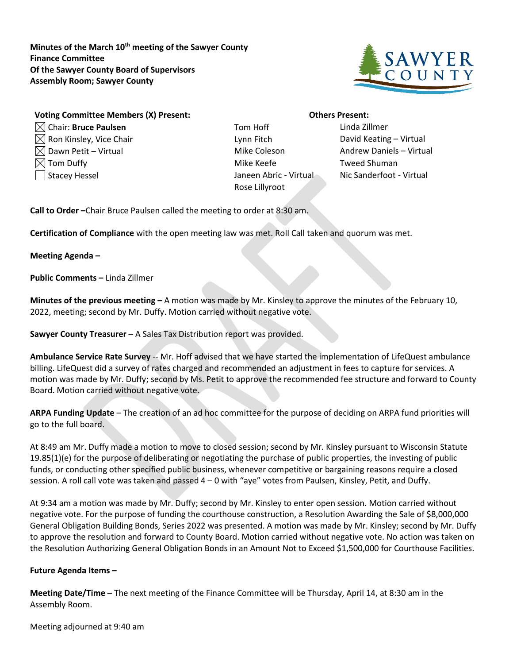**Minutes of the March 10th meeting of the Sawyer County Finance Committee Of the Sawyer County Board of Supervisors Assembly Room; Sawyer County**



## **Voting Committee Members (X) Present: Others Present:**

- $\boxtimes$  Ron Kinsley, Vice Chair Lease Lynn Fitch Lynn Fitch David Keating Virtual  $\boxtimes$  Dawn Petit – Virtual  $\blacksquare$  and  $\blacksquare$  Mike Coleson Andrew Daniels – Virtual  $\boxtimes$  Tom Duffy  $\blacksquare$  Tom Duffy the Mike Keefe Tweed Shuman Stacey Hessel Janeen Abric - Virtual Nic Sanderfoot - Virtual
- Chair: **Bruce Paulsen** Tom Hoff Linda Zillmer Rose Lillyroot

**Call to Order –**Chair Bruce Paulsen called the meeting to order at 8:30 am.

**Certification of Compliance** with the open meeting law was met. Roll Call taken and quorum was met.

## **Meeting Agenda –**

**Public Comments –** Linda Zillmer

**Minutes of the previous meeting –** A motion was made by Mr. Kinsley to approve the minutes of the February 10, 2022, meeting; second by Mr. Duffy. Motion carried without negative vote.

**Sawyer County Treasurer** – A Sales Tax Distribution report was provided.

**Ambulance Service Rate Survey** -- Mr. Hoff advised that we have started the implementation of LifeQuest ambulance billing. LifeQuest did a survey of rates charged and recommended an adjustment in fees to capture for services. A motion was made by Mr. Duffy; second by Ms. Petit to approve the recommended fee structure and forward to County Board. Motion carried without negative vote.

**ARPA Funding Update** – The creation of an ad hoc committee for the purpose of deciding on ARPA fund priorities will go to the full board.

At 8:49 am Mr. Duffy made a motion to move to closed session; second by Mr. Kinsley pursuant to Wisconsin Statute 19.85(1)(e) for the purpose of deliberating or negotiating the purchase of public properties, the investing of public funds, or conducting other specified public business, whenever competitive or bargaining reasons require a closed session. A roll call vote was taken and passed 4 – 0 with "aye" votes from Paulsen, Kinsley, Petit, and Duffy.

At 9:34 am a motion was made by Mr. Duffy; second by Mr. Kinsley to enter open session. Motion carried without negative vote. For the purpose of funding the courthouse construction, a Resolution Awarding the Sale of \$8,000,000 General Obligation Building Bonds, Series 2022 was presented. A motion was made by Mr. Kinsley; second by Mr. Duffy to approve the resolution and forward to County Board. Motion carried without negative vote. No action was taken on the Resolution Authorizing General Obligation Bonds in an Amount Not to Exceed \$1,500,000 for Courthouse Facilities.

## **Future Agenda Items –**

**Meeting Date/Time –** The next meeting of the Finance Committee will be Thursday, April 14, at 8:30 am in the Assembly Room.

Meeting adjourned at 9:40 am